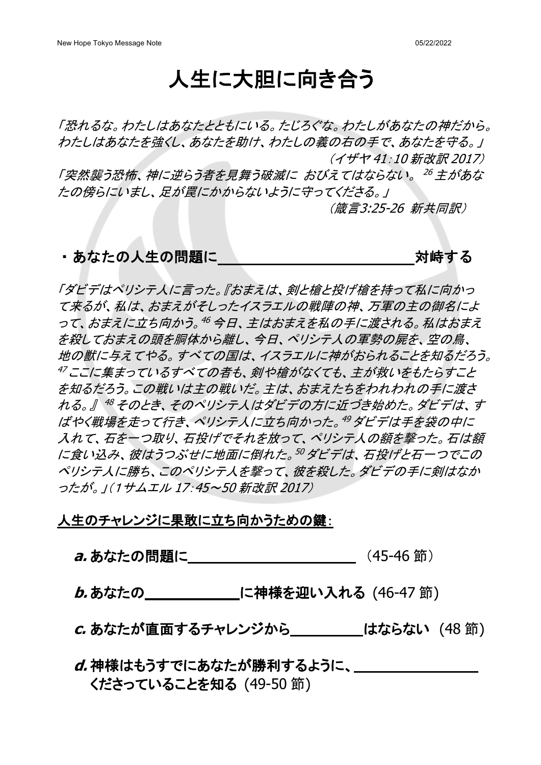# 人生に大胆に向き合う

「恐れるな。わたしはあなたとともにいる。たじろぐな。わたしがあなたの神だから。 わたしはあなたを強くし、あなたを助け、わたしの義の右の手で、あなたを守る。」 (イザヤ 41:10 新改訳 2017)

「突然襲う恐怖、神に逆らう者を見舞う破滅に おびえてはならない。 <sup>26</sup> 主があな たの傍らにいまし、足が罠にかからないように守ってくださる。」

(箴言3:25-26 新共同訳)

#### ・あなたの人生の問題に 対峙する

「ダビデはペリシテ人に言った。『おまえは、剣と槍と投げ槍を持って私に向かっ て来るが、私は、おまえがそしったイスラエルの戦陣の神、万軍の主の御名によ って、おまえに立ち向かう。<sup>46</sup> 今日、主はおまえを私の手に渡される。私はおまえ を殺しておまえの頭を胴体から離し、今日、ペリシテ人の軍勢の屍を、空の鳥、 地の獣に与えてやる。すべての国は、イスラエルに神がおられることを知るだろう。 <sup>47</sup> ここに集まっているすべての者も、剣や槍がなくても、主が救いをもたらすこと を知るだろう。この戦いは主の戦いだ。主は、おまえたちをわれわれの手に渡さ れる。』 <sup>48</sup> そのとき、そのペリシテ人はダビデの方に近づき始めた。ダビデは、す ばやく戦場を走って行き、ペリシテ人に立ち向かった。<sup>49</sup> ダビデは手を袋の中に 入れて、石を一つ取り、石投げでそれを放って、ペリシテ人の額を撃った。石は額 に食い込み、彼はうつぶせに地面に倒れた。<sup>50</sup> ダビデは、石投げと石一つでこの ペリシテ人に勝ち、このペリシテ人を撃って、彼を殺した。ダビデの手に剣はなか ったが。」(1サムエル 17:45~50 新改訳 2017)

#### 人生のチャレンジに果敢に立ち向かうための鍵:

**a.** あなたの問題に(45-46 節)

**b. あなたの
<br>
<u>
</u>に神様を迎い入れる (46-47節)** 

**c.** あなたが直面するチャレンジからはならない (48 節)

## **d.** 神様はもうすでにあなたが勝利するように、 くださっていることを知る (49-50 節)